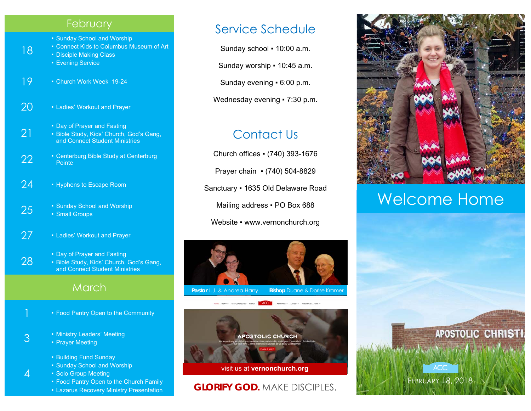#### **February**

- Sunday School and Worship
- Connect Kids to Columbus Museum of Art
- Disciple Making Class
- **Evening Service**

18

- 19 Church Work Week 19-24
- $20 1$  Ladies' Workout and Prayer
	- Day of Prayer and Fasting
- 21 ▪ Bible Study, Kids' Church, God's Gang, and Connect Student Ministries
- 22 Centerburg Bible Study at Centerburg<br>Pointe
- 24 Hyphens to Escape Room
- 25 Sunday School and Worship **Small Groups**
- 27 Ladies' Workout and Prayer
- 28 **• Day of Prayer and Fasting Bible Study, Kids' Church, God's Gang,** and Connect Student Ministries

#### March

- **E** Food Pantry Open to the Community
- 3  **Ministry Leaders' Meeting The Elisabete Prayer Meeting** 
	- Building Fund Sunday
	- Sunday School and Worship
	- Solo Group Meeting

4

- Food Pantry Open to the Church Family
- **EXALGR 21 Lazarus Recovery Ministry Presentation**

## Service Schedule

Sunday school ▪ 10:00 a.m.

Sunday worship ▪ 10:45 a.m.

Sunday evening ▪ 6:00 p.m.

Wednesday evening • 7:30 p.m.

# Contact Us

Church offices ▪ (740) 393-1676 Prayer chain ▪ (740) 504-8829 Sanctuary ▪ 1635 Old Delaware Road Mailing address . PO Box 688 Website • www.vernonchurch.org





#### **GLORIFY GOD.** MAKE DISCIPLES.



# Welcome Home



FEBRUARY 18, 2018

**ACC**